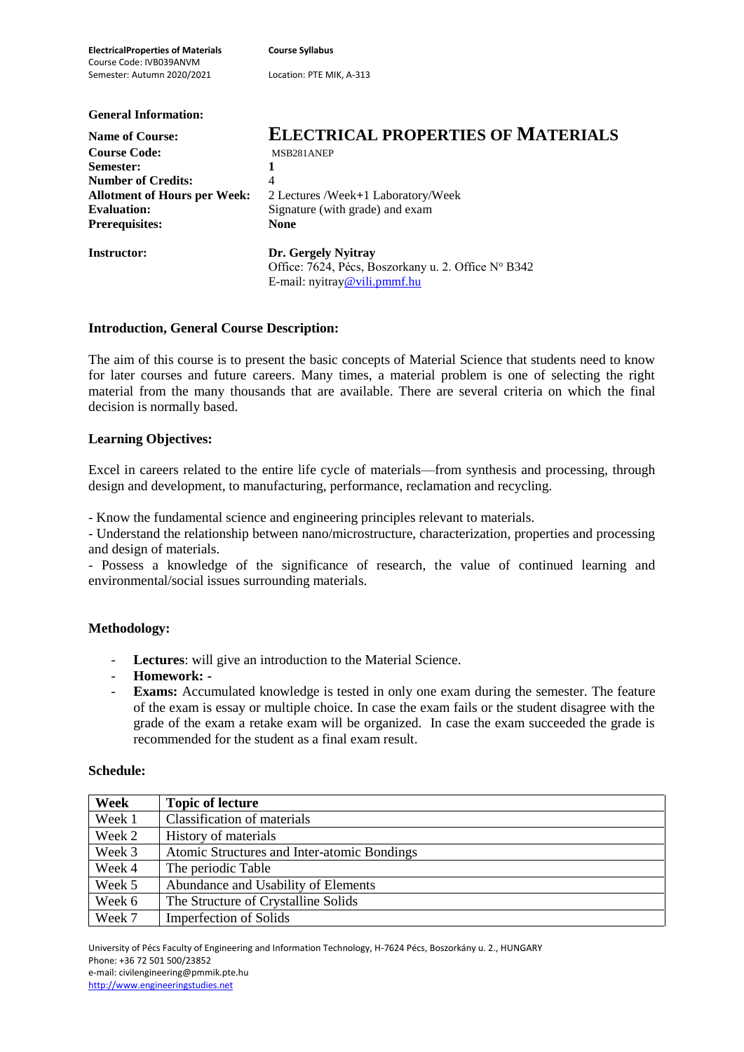**ElectricalProperties of Materials Course Syllabus** Course Code: IVB039ANVM Semester: Autumn 2020/2021 Location: PTE MIK, A-313 **General Information:**

| <b>Name of Course:</b>              | <b>ELECTRICAL PROPERTIES OF MATERIALS</b>           |  |  |
|-------------------------------------|-----------------------------------------------------|--|--|
| <b>Course Code:</b>                 | MSB281ANEP                                          |  |  |
| Semester:                           |                                                     |  |  |
| <b>Number of Credits:</b>           | 4                                                   |  |  |
| <b>Allotment of Hours per Week:</b> | 2 Lectures /Week+1 Laboratory/Week                  |  |  |
| <b>Evaluation:</b>                  | Signature (with grade) and exam                     |  |  |
| <b>Prerequisites:</b>               | <b>None</b>                                         |  |  |
| <b>Instructor:</b>                  | Dr. Gergely Nyitray                                 |  |  |
|                                     | Office: 7624, Pécs, Boszorkany u. 2. Office N° B342 |  |  |
|                                     | E-mail: $n$ vitray@vili.pmmf.hu                     |  |  |

# **Introduction, General Course Description:**

The aim of this course is to present the basic concepts of Material Science that students need to know for later courses and future careers. Many times, a material problem is one of selecting the right material from the many thousands that are available. There are several criteria on which the final decision is normally based.

### **Learning Objectives:**

Excel in careers related to the entire life cycle of materials—from synthesis and processing, through design and development, to manufacturing, performance, reclamation and recycling.

- Know the fundamental science and engineering principles relevant to materials.

- Understand the relationship between nano/microstructure, characterization, properties and processing and design of materials.

- Possess a knowledge of the significance of research, the value of continued learning and environmental/social issues surrounding materials.

### **Methodology:**

- Lectures: will give an introduction to the Material Science.
- **Homework: -**
- **Exams:** Accumulated knowledge is tested in only one exam during the semester. The feature of the exam is essay or multiple choice. In case the exam fails or the student disagree with the grade of the exam a retake exam will be organized. In case the exam succeeded the grade is recommended for the student as a final exam result.

### **Schedule:**

| Week   | <b>Topic of lecture</b>                     |
|--------|---------------------------------------------|
| Week 1 | Classification of materials                 |
| Week 2 | History of materials                        |
| Week 3 | Atomic Structures and Inter-atomic Bondings |
| Week 4 | The periodic Table                          |
| Week 5 | Abundance and Usability of Elements         |
| Week 6 | The Structure of Crystalline Solids         |
| Week 7 | <b>Imperfection of Solids</b>               |

University of Pécs Faculty of Engineering and Information Technology, H-7624 Pécs, Boszorkány u. 2., HUNGARY Phone: +36 72 501 500/23852 e-mail: civilengineering@pmmik.pte.hu http://www.engineeringstudies.net